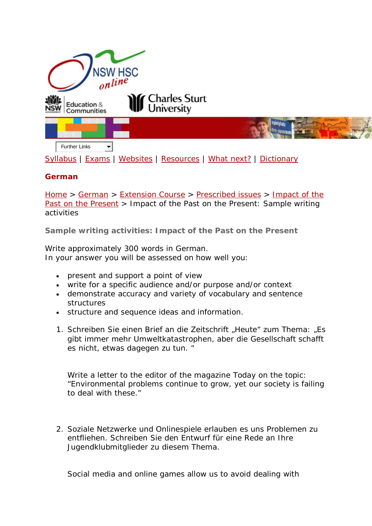

## **German**

[Home](http://www.hsc.csu.edu.au/) > [German](http://www.hsc.csu.edu.au/german/) > [Extension Course](http://www.hsc.csu.edu.au/german/#112077) > [Prescribed issues](http://www.hsc.csu.edu.au/german/#112078) > Impact of the Past on the Present > Impact of the Past on the Present: Sample writing activities

**Sample writing activities: Impact of the Past on the Present**

Write approximately 300 words in German. In your answer you will be assessed on how well you:

- present and support a point of view
- write for a specific audience and/or purpose and/or context
- demonstrate accuracy and variety of vocabulary and sentence structures
- structure and sequence ideas and information.
- 1. *Schreiben Sie einen Brief an die Zeitschrift "Heute" zum Thema: "Es gibt immer mehr Umweltkatastrophen, aber die Gesellschaft schafft es nicht, etwas dagegen zu tun. "*

Write a letter to the editor of the magazine *Today* on the topic: "Environmental problems continue to grow, yet our society is failing to deal with these."

*2. Soziale Netzwerke und Onlinespiele erlauben es uns Problemen zu entfliehen. Schreiben Sie den Entwurf für eine Rede an Ihre Jugendklubmitglieder zu diesem Thema.*

Social media and online games allow us to avoid dealing with